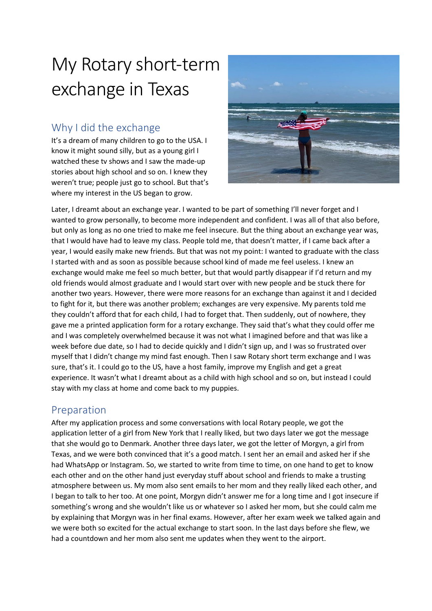# My Rotary short-term exchange in Texas

## Why I did the exchange

It's a dream of many children to go to the USA. I know it might sound silly, but as a young girl I watched these tv shows and I saw the made-up stories about high school and so on. I knew they weren't true; people just go to school. But that's where my interest in the US began to grow.



Later, I dreamt about an exchange year. I wanted to be part of something I'll never forget and I wanted to grow personally, to become more independent and confident. I was all of that also before, but only as long as no one tried to make me feel insecure. But the thing about an exchange year was, that I would have had to leave my class. People told me, that doesn't matter, if I came back after a year, I would easily make new friends. But that was not my point: I wanted to graduate with the class I started with and as soon as possible because school kind of made me feel useless. I knew an exchange would make me feel so much better, but that would partly disappear if I'd return and my old friends would almost graduate and I would start over with new people and be stuck there for another two years. However, there were more reasons for an exchange than against it and I decided to fight for it, but there was another problem; exchanges are very expensive. My parents told me they couldn't afford that for each child, I had to forget that. Then suddenly, out of nowhere, they gave me a printed application form for a rotary exchange. They said that's what they could offer me and I was completely overwhelmed because it was not what I imagined before and that was like a week before due date, so I had to decide quickly and I didn't sign up, and I was so frustrated over myself that I didn't change my mind fast enough. Then I saw Rotary short term exchange and I was sure, that's it. I could go to the US, have a host family, improve my English and get a great experience. It wasn't what I dreamt about as a child with high school and so on, but instead I could stay with my class at home and come back to my puppies.

### Preparation

After my application process and some conversations with local Rotary people, we got the application letter of a girl from New York that I really liked, but two days later we got the message that she would go to Denmark. Another three days later, we got the letter of Morgyn, a girl from Texas, and we were both convinced that it's a good match. I sent her an email and asked her if she had WhatsApp or Instagram. So, we started to write from time to time, on one hand to get to know each other and on the other hand just everyday stuff about school and friends to make a trusting atmosphere between us. My mom also sent emails to her mom and they really liked each other, and I began to talk to her too. At one point, Morgyn didn't answer me for a long time and I got insecure if something's wrong and she wouldn't like us or whatever so I asked her mom, but she could calm me by explaining that Morgyn was in her final exams. However, after her exam week we talked again and we were both so excited for the actual exchange to start soon. In the last days before she flew, we had a countdown and her mom also sent me updates when they went to the airport.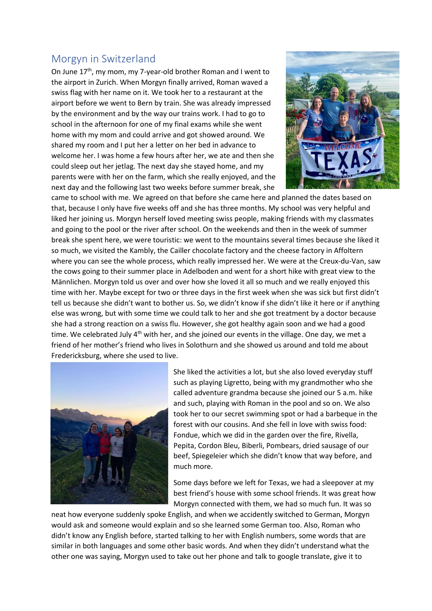#### Morgyn in Switzerland

On June 17<sup>th</sup>, my mom, my 7-year-old brother Roman and I went to the airport in Zurich. When Morgyn finally arrived, Roman waved a swiss flag with her name on it. We took her to a restaurant at the airport before we went to Bern by train. She was already impressed by the environment and by the way our trains work. I had to go to school in the afternoon for one of my final exams while she went home with my mom and could arrive and got showed around. We shared my room and I put her a letter on her bed in advance to welcome her. I was home a few hours after her, we ate and then she could sleep out her jetlag. The next day she stayed home, and my parents were with her on the farm, which she really enjoyed, and the next day and the following last two weeks before summer break, she



came to school with me. We agreed on that before she came here and planned the dates based on that, because I only have five weeks off and she has three months. My school was very helpful and liked her joining us. Morgyn herself loved meeting swiss people, making friends with my classmates and going to the pool or the river after school. On the weekends and then in the week of summer break she spent here, we were touristic: we went to the mountains several times because she liked it so much, we visited the Kambly, the Cailler chocolate factory and the cheese factory in Affoltern where you can see the whole process, which really impressed her. We were at the Creux-du-Van, saw the cows going to their summer place in Adelboden and went for a short hike with great view to the Männlichen. Morgyn told us over and over how she loved it all so much and we really enjoyed this time with her. Maybe except for two or three days in the first week when she was sick but first didn't tell us because she didn't want to bother us. So, we didn't know if she didn't like it here or if anything else was wrong, but with some time we could talk to her and she got treatment by a doctor because she had a strong reaction on a swiss flu. However, she got healthy again soon and we had a good time. We celebrated July  $4<sup>th</sup>$  with her, and she joined our events in the village. One day, we met a friend of her mother's friend who lives in Solothurn and she showed us around and told me about Fredericksburg, where she used to live.



She liked the activities a lot, but she also loved everyday stuff such as playing Ligretto, being with my grandmother who she called adventure grandma because she joined our 5 a.m. hike and such, playing with Roman in the pool and so on. We also took her to our secret swimming spot or had a barbeque in the forest with our cousins. And she fell in love with swiss food: Fondue, which we did in the garden over the fire, Rivella, Pepita, Cordon Bleu, Biberli, Pombears, dried sausage of our beef, Spiegeleier which she didn't know that way before, and much more.

Some days before we left for Texas, we had a sleepover at my best friend's house with some school friends. It was great how Morgyn connected with them, we had so much fun. It was so

neat how everyone suddenly spoke English, and when we accidently switched to German, Morgyn would ask and someone would explain and so she learned some German too. Also, Roman who didn't know any English before, started talking to her with English numbers, some words that are similar in both languages and some other basic words. And when they didn't understand what the other one was saying, Morgyn used to take out her phone and talk to google translate, give it to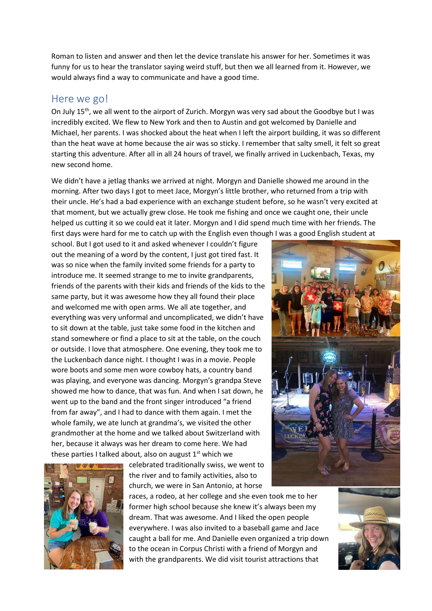Roman to listen and answer and then let the device translate his answer for her. Sometimes it was funny for us to hear the translator saying weird stuff, but then we all learned from it. However, we would always find a way to communicate and have a good time.

#### Here we go!

On July 15<sup>th</sup>, we all went to the airport of Zurich. Morgyn was very sad about the Goodbye but I was incredibly excited. We flew to New York and then to Austin and got welcomed by Danielle and Michael, her parents. I was shocked about the heat when I left the airport building, it was so different than the heat wave at home because the air was so sticky. I remember that salty smell, it felt so great starting this adventure. After all in all 24 hours of travel, we finally arrived in Luckenbach, Texas, my new second home.

We didn't have a jetlag thanks we arrived at night. Morgyn and Danielle showed me around in the morning. After two days I got to meet Jace, Morgyn's little brother, who returned from a trip with their uncle. He's had a bad experience with an exchange student before, so he wasn't very excited at that moment, but we actually grew close. He took me fishing and once we caught one, their uncle helped us cutting it so we could eat it later. Morgyn and I did spend much time with her friends. The first days were hard for me to catch up with the English even though I was a good English student at

school. But I got used to it and asked whenever I couldn't figure out the meaning of a word by the content, I just got tired fast. It was so nice when the family invited some friends for a party to introduce me. It seemed strange to me to invite grandparents, friends of the parents with their kids and friends of the kids to the same party, but it was awesome how they all found their place and welcomed me with open arms. We all ate together, and everything was very unformal and uncomplicated, we didn't have to sit down at the table, just take some food in the kitchen and stand somewhere or find a place to sit at the table, on the couch or outside. I love that atmosphere. One evening, they took me to the Luckenbach dance night. I thought I was in a movie. People wore boots and some men wore cowboy hats, a country band was playing, and everyone was dancing. Morgyn's grandpa Steve showed me how to dance, that was fun. And when I sat down, he went up to the band and the front singer introduced "a friend from far away", and I had to dance with them again. I met the whole family, we ate lunch at grandma's, we visited the other grandmother at the home and we talked about Switzerland with her, because it always was her dream to come here. We had these parties I talked about, also on august  $1<sup>st</sup>$  which we

> celebrated traditionally swiss, we went to the river and to family activities, also to church, we were in San Antonio, at horse





races, a rodeo, at her college and she even took me to her former high school because she knew it's always been my dream. That was awesome. And I liked the open people everywhere. I was also invited to a baseball game and Jace caught a ball for me. And Danielle even organized a trip down to the ocean in Corpus Christi with a friend of Morgyn and with the grandparents. We did visit tourist attractions that